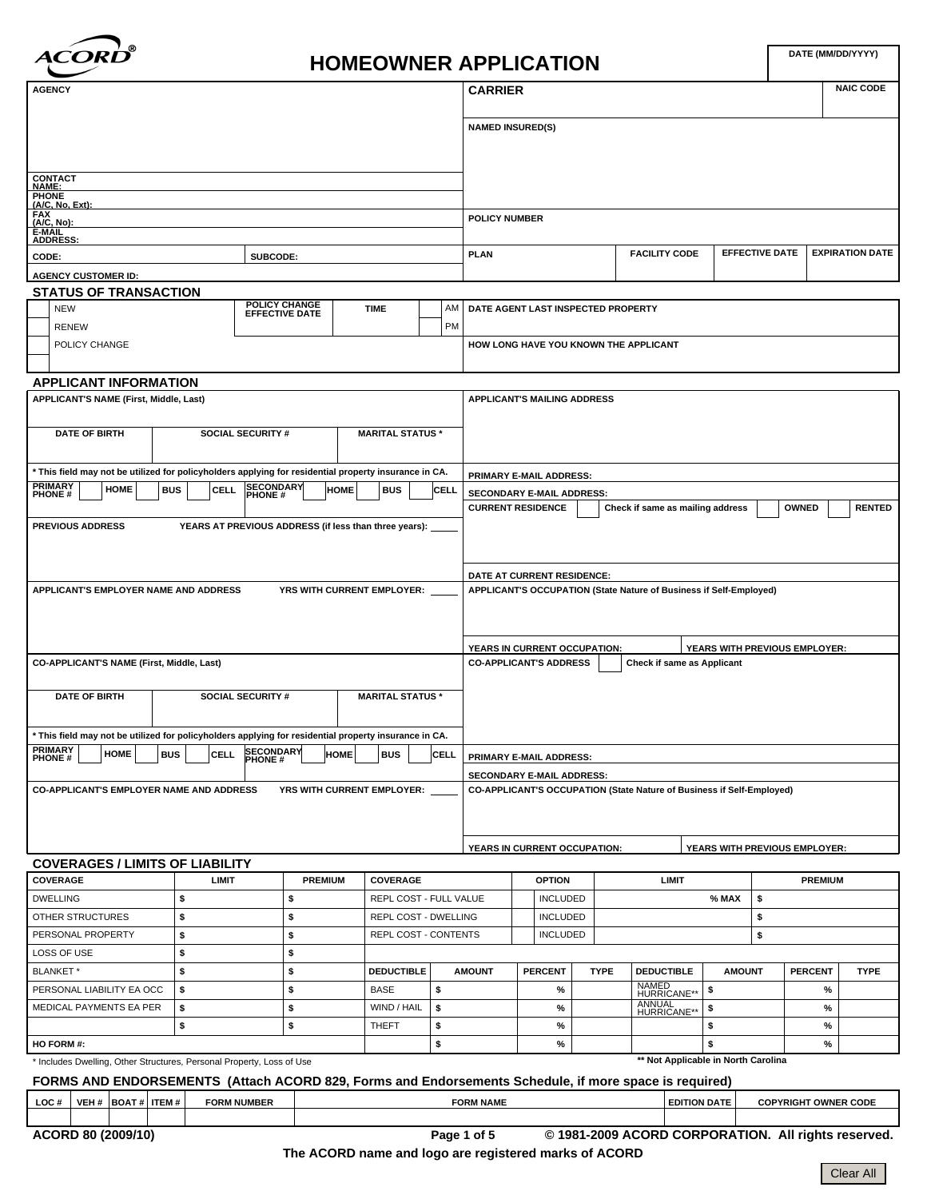

# **DATE (MM/DD/YYYY) HOMEOWNER APPLICATION**

| <b>AGENCY</b>                                                                                                           |                                                                                                       |                                                       |                            |                                                                                        |  |             | <b>CARRIER</b>          |                                       |             |                                                                       |                               |    |                             | <b>NAIC CODE</b> |  |
|-------------------------------------------------------------------------------------------------------------------------|-------------------------------------------------------------------------------------------------------|-------------------------------------------------------|----------------------------|----------------------------------------------------------------------------------------|--|-------------|-------------------------|---------------------------------------|-------------|-----------------------------------------------------------------------|-------------------------------|----|-----------------------------|------------------|--|
|                                                                                                                         |                                                                                                       |                                                       |                            |                                                                                        |  |             |                         |                                       |             |                                                                       |                               |    |                             |                  |  |
|                                                                                                                         |                                                                                                       |                                                       |                            |                                                                                        |  |             | <b>NAMED INSURED(S)</b> |                                       |             |                                                                       |                               |    |                             |                  |  |
|                                                                                                                         |                                                                                                       |                                                       |                            |                                                                                        |  |             |                         |                                       |             |                                                                       |                               |    |                             |                  |  |
| <b>CONTACT</b>                                                                                                          |                                                                                                       |                                                       |                            |                                                                                        |  |             |                         |                                       |             |                                                                       |                               |    |                             |                  |  |
| NAME:<br>PHONE<br>(A/C, No, Ext):                                                                                       |                                                                                                       |                                                       |                            |                                                                                        |  |             |                         |                                       |             |                                                                       |                               |    |                             |                  |  |
| FAX<br><u>(A/C, No):</u>                                                                                                |                                                                                                       |                                                       |                            |                                                                                        |  |             | <b>POLICY NUMBER</b>    |                                       |             |                                                                       |                               |    |                             |                  |  |
| E-MAIL                                                                                                                  |                                                                                                       |                                                       |                            |                                                                                        |  |             |                         |                                       |             |                                                                       |                               |    |                             |                  |  |
| <b>ADDRESS:</b><br>CODE:                                                                                                |                                                                                                       | SUBCODE:                                              |                            | <b>EFFECTIVE DATE</b><br><b>EXPIRATION DATE</b><br><b>FACILITY CODE</b><br><b>PLAN</b> |  |             |                         |                                       |             |                                                                       |                               |    |                             |                  |  |
| <b>AGENCY CUSTOMER ID:</b>                                                                                              |                                                                                                       |                                                       |                            |                                                                                        |  |             |                         |                                       |             |                                                                       |                               |    |                             |                  |  |
| <b>STATUS OF TRANSACTION</b>                                                                                            |                                                                                                       |                                                       |                            |                                                                                        |  |             |                         |                                       |             |                                                                       |                               |    |                             |                  |  |
| <b>NEW</b>                                                                                                              |                                                                                                       | <b>POLICY CHANGE</b><br><b>EFFECTIVE DATE</b>         |                            | <b>TIME</b>                                                                            |  | AM          |                         | DATE AGENT LAST INSPECTED PROPERTY    |             |                                                                       |                               |    |                             |                  |  |
| <b>RENEW</b>                                                                                                            |                                                                                                       |                                                       |                            |                                                                                        |  | <b>PM</b>   |                         |                                       |             |                                                                       |                               |    |                             |                  |  |
| POLICY CHANGE                                                                                                           |                                                                                                       |                                                       |                            |                                                                                        |  |             |                         | HOW LONG HAVE YOU KNOWN THE APPLICANT |             |                                                                       |                               |    |                             |                  |  |
|                                                                                                                         |                                                                                                       |                                                       |                            |                                                                                        |  |             |                         |                                       |             |                                                                       |                               |    |                             |                  |  |
| <b>APPLICANT INFORMATION</b>                                                                                            |                                                                                                       |                                                       |                            |                                                                                        |  |             |                         |                                       |             |                                                                       |                               |    |                             |                  |  |
| APPLICANT'S NAME (First, Middle, Last)                                                                                  |                                                                                                       |                                                       |                            |                                                                                        |  |             |                         | <b>APPLICANT'S MAILING ADDRESS</b>    |             |                                                                       |                               |    |                             |                  |  |
|                                                                                                                         |                                                                                                       |                                                       |                            |                                                                                        |  |             |                         |                                       |             |                                                                       |                               |    |                             |                  |  |
| <b>DATE OF BIRTH</b>                                                                                                    |                                                                                                       | <b>SOCIAL SECURITY #</b>                              |                            | <b>MARITAL STATUS *</b>                                                                |  |             |                         |                                       |             |                                                                       |                               |    |                             |                  |  |
|                                                                                                                         |                                                                                                       |                                                       |                            |                                                                                        |  |             |                         |                                       |             |                                                                       |                               |    |                             |                  |  |
| * This field may not be utilized for policyholders applying for residential property insurance in CA.<br><b>PRIMARY</b> |                                                                                                       |                                                       |                            |                                                                                        |  |             |                         | PRIMARY E-MAIL ADDRESS:               |             |                                                                       |                               |    |                             |                  |  |
| <b>HOME</b><br><b>BUS</b><br><b>PHONE#</b>                                                                              | <b>CELL</b>                                                                                           | SECONDARY<br>PHONE #                                  | HOME                       | <b>BUS</b>                                                                             |  | CELL        |                         | <b>SECONDARY E-MAIL ADDRESS:</b>      |             |                                                                       |                               |    |                             |                  |  |
|                                                                                                                         |                                                                                                       |                                                       |                            |                                                                                        |  |             |                         | <b>CURRENT RESIDENCE</b>              |             | Check if same as mailing address                                      |                               |    | <b>OWNED</b>                | <b>RENTED</b>    |  |
| <b>PREVIOUS ADDRESS</b>                                                                                                 |                                                                                                       | YEARS AT PREVIOUS ADDRESS (if less than three years): |                            |                                                                                        |  |             |                         |                                       |             |                                                                       |                               |    |                             |                  |  |
|                                                                                                                         |                                                                                                       |                                                       |                            |                                                                                        |  |             |                         |                                       |             |                                                                       |                               |    |                             |                  |  |
|                                                                                                                         |                                                                                                       |                                                       | DATE AT CURRENT RESIDENCE: |                                                                                        |  |             |                         |                                       |             |                                                                       |                               |    |                             |                  |  |
| APPLICANT'S EMPLOYER NAME AND ADDRESS                                                                                   |                                                                                                       |                                                       | YRS WITH CURRENT EMPLOYER: |                                                                                        |  |             |                         |                                       |             | APPLICANT'S OCCUPATION (State Nature of Business if Self-Employed)    |                               |    |                             |                  |  |
|                                                                                                                         |                                                                                                       |                                                       |                            |                                                                                        |  |             |                         |                                       |             |                                                                       |                               |    |                             |                  |  |
|                                                                                                                         |                                                                                                       |                                                       |                            |                                                                                        |  |             |                         |                                       |             |                                                                       |                               |    |                             |                  |  |
|                                                                                                                         |                                                                                                       |                                                       |                            |                                                                                        |  |             |                         | YEARS IN CURRENT OCCUPATION:          |             |                                                                       | YEARS WITH PREVIOUS EMPLOYER: |    |                             |                  |  |
| CO-APPLICANT'S NAME (First, Middle, Last)                                                                               |                                                                                                       |                                                       |                            |                                                                                        |  |             |                         | <b>CO-APPLICANT'S ADDRESS</b>         |             | Check if same as Applicant                                            |                               |    |                             |                  |  |
|                                                                                                                         |                                                                                                       |                                                       |                            |                                                                                        |  |             |                         |                                       |             |                                                                       |                               |    |                             |                  |  |
| <b>DATE OF BIRTH</b>                                                                                                    |                                                                                                       | <b>SOCIAL SECURITY #</b>                              |                            | <b>MARITAL STATUS *</b>                                                                |  |             |                         |                                       |             |                                                                       |                               |    |                             |                  |  |
|                                                                                                                         |                                                                                                       |                                                       |                            |                                                                                        |  |             |                         |                                       |             |                                                                       |                               |    |                             |                  |  |
| * This field may not be utilized for policyholders applying for residential property insurance in CA.                   |                                                                                                       |                                                       |                            |                                                                                        |  |             |                         |                                       |             |                                                                       |                               |    |                             |                  |  |
| <b>PRIMARY</b><br>$P_{\mathsf{PHONE}}$ HOME BUS CELL SECONDARY HOME BUS                                                 |                                                                                                       |                                                       |                            |                                                                                        |  | <b>CELL</b> |                         | <b>PRIMARY E-MAIL ADDRESS:</b>        |             |                                                                       |                               |    |                             |                  |  |
|                                                                                                                         |                                                                                                       |                                                       |                            |                                                                                        |  |             |                         | SECONDARY E-MAIL ADDRESS:             |             |                                                                       |                               |    |                             |                  |  |
| <b>CO-APPLICANT'S EMPLOYER NAME AND ADDRESS</b>                                                                         |                                                                                                       |                                                       | YRS WITH CURRENT EMPLOYER: |                                                                                        |  |             |                         |                                       |             | CO-APPLICANT'S OCCUPATION (State Nature of Business if Self-Employed) |                               |    |                             |                  |  |
|                                                                                                                         |                                                                                                       |                                                       |                            |                                                                                        |  |             |                         |                                       |             |                                                                       |                               |    |                             |                  |  |
|                                                                                                                         |                                                                                                       |                                                       |                            |                                                                                        |  |             |                         |                                       |             |                                                                       |                               |    |                             |                  |  |
|                                                                                                                         |                                                                                                       |                                                       |                            |                                                                                        |  |             |                         | YEARS IN CURRENT OCCUPATION:          |             |                                                                       | YEARS WITH PREVIOUS EMPLOYER: |    |                             |                  |  |
| <b>COVERAGES / LIMITS OF LIABILITY</b>                                                                                  |                                                                                                       |                                                       |                            |                                                                                        |  |             |                         |                                       |             |                                                                       |                               |    |                             |                  |  |
| <b>COVERAGE</b>                                                                                                         | <b>LIMIT</b>                                                                                          |                                                       | <b>PREMIUM</b>             | <b>COVERAGE</b>                                                                        |  |             |                         | <b>OPTION</b>                         |             | <b>LIMIT</b>                                                          |                               |    | <b>PREMIUM</b>              |                  |  |
| <b>DWELLING</b><br>OTHER STRUCTURES                                                                                     | \$<br>\$                                                                                              | \$<br>\$                                              |                            | REPL COST - FULL VALUE<br>REPL COST - DWELLING                                         |  |             |                         | <b>INCLUDED</b>                       |             |                                                                       | % MAX                         | \$ |                             |                  |  |
| PERSONAL PROPERTY                                                                                                       | \$                                                                                                    |                                                       |                            |                                                                                        |  |             |                         | <b>INCLUDED</b>                       |             |                                                                       |                               | \$ |                             |                  |  |
|                                                                                                                         | \$                                                                                                    | \$                                                    |                            | REPL COST - CONTENTS                                                                   |  |             |                         | <b>INCLUDED</b>                       |             |                                                                       |                               | \$ |                             |                  |  |
| LOSS OF USE                                                                                                             | \$                                                                                                    | \$                                                    |                            | <b>DEDUCTIBLE</b>                                                                      |  |             | <b>AMOUNT</b>           | <b>PERCENT</b>                        | <b>TYPE</b> | <b>DEDUCTIBLE</b>                                                     | <b>AMOUNT</b>                 |    | <b>PERCENT</b>              | <b>TYPE</b>      |  |
| BLANKET*                                                                                                                |                                                                                                       | \$                                                    |                            |                                                                                        |  |             |                         |                                       |             |                                                                       |                               |    |                             |                  |  |
| PERSONAL LIABILITY EA OCC                                                                                               | \$                                                                                                    | \$                                                    |                            | <b>BASE</b>                                                                            |  | \$          |                         | %                                     |             | NAMED<br>HURRICANE**                                                  | \$                            |    | %                           |                  |  |
| MEDICAL PAYMENTS EA PER                                                                                                 | \$<br>\$                                                                                              | \$<br>\$                                              |                            | WIND / HAIL                                                                            |  | \$          |                         | %                                     |             | ANNUAL<br>HURRICANE**                                                 | \$<br>\$                      |    | %                           |                  |  |
| HO FORM #:                                                                                                              |                                                                                                       |                                                       |                            | THEFT                                                                                  |  | \$<br>\$    |                         | %<br>$\%$                             |             |                                                                       | \$                            |    | %                           |                  |  |
|                                                                                                                         |                                                                                                       |                                                       |                            |                                                                                        |  |             |                         |                                       |             | ** Not Applicable in North Carolina                                   |                               |    | %                           |                  |  |
| * Includes Dwelling, Other Structures, Personal Property, Loss of Use                                                   |                                                                                                       |                                                       |                            |                                                                                        |  |             |                         |                                       |             |                                                                       |                               |    |                             |                  |  |
|                                                                                                                         | FORMS AND ENDORSEMENTS (Attach ACORD 829, Forms and Endorsements Schedule, if more space is required) |                                                       |                            |                                                                                        |  |             |                         |                                       |             |                                                                       |                               |    |                             |                  |  |
| VEH #   BOAT #   ITEM #<br>LOC#                                                                                         | <b>FORM NUMBER</b>                                                                                    |                                                       |                            |                                                                                        |  |             | <b>FORM NAME</b>        |                                       |             | <b>EDITION DATE</b>                                                   |                               |    | <b>COPYRIGHT OWNER CODE</b> |                  |  |
| ACORD 80 (2009/10)                                                                                                      |                                                                                                       |                                                       |                            |                                                                                        |  |             | Page 1 of 5             |                                       |             | © 1981-2009 ACORD CORPORATION. All rights reserved.                   |                               |    |                             |                  |  |

**The ACORD name and logo are registered marks of ACORD**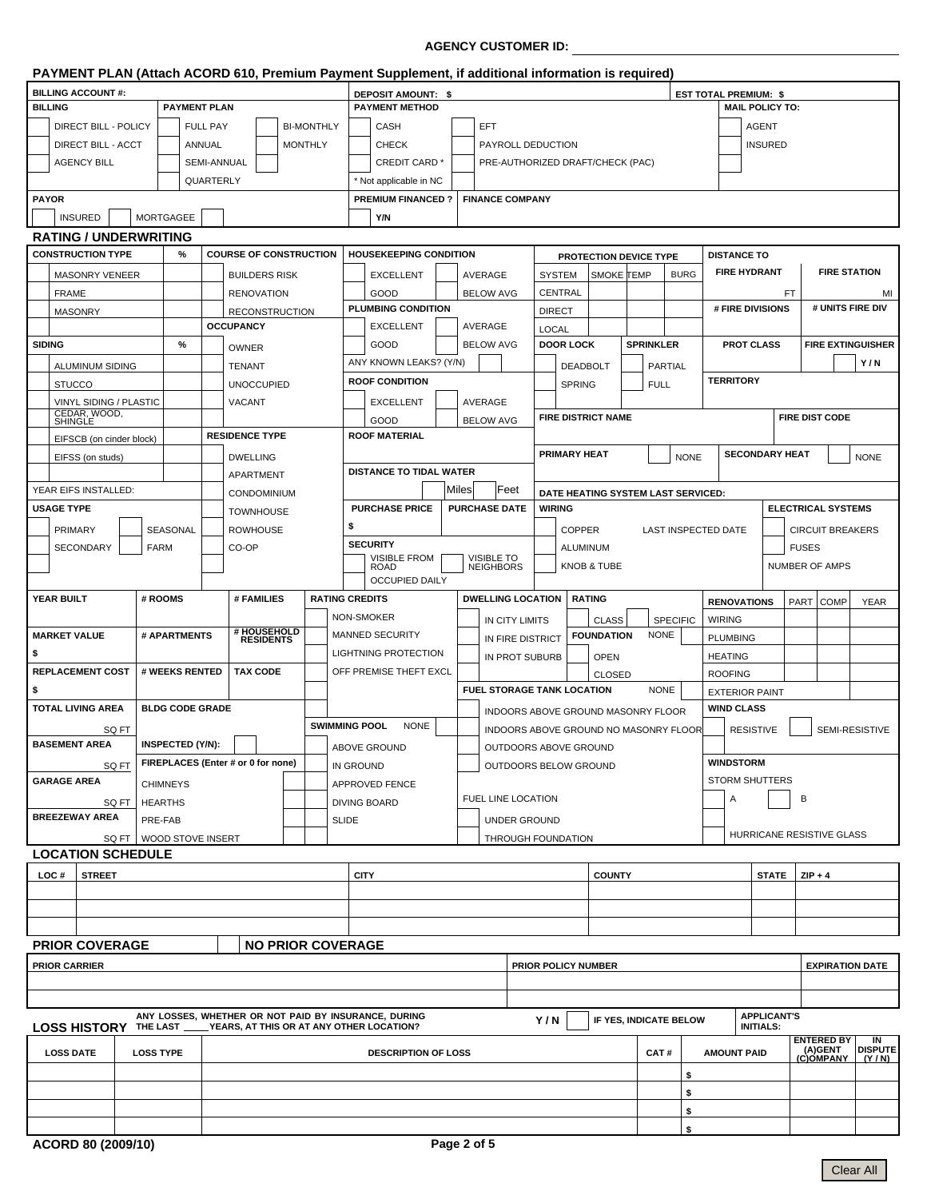## **AGENCY CUSTOMER ID:**

|                          |                              |       |                         |                     |                                                                             |                                    |                   |                    | PAYMENT PLAN (Attach ACORD 610, Premium Payment Supplement, if additional information is required)    |                                           |                       |                                  |                                                |                                       |                     |               |                  |                        |                              |                                        |              |                           |                                      |  |
|--------------------------|------------------------------|-------|-------------------------|---------------------|-----------------------------------------------------------------------------|------------------------------------|-------------------|--------------------|-------------------------------------------------------------------------------------------------------|-------------------------------------------|-----------------------|----------------------------------|------------------------------------------------|---------------------------------------|---------------------|---------------|------------------|------------------------|------------------------------|----------------------------------------|--------------|---------------------------|--------------------------------------|--|
| <b>BILLING ACCOUNT#:</b> |                              |       |                         |                     |                                                                             |                                    |                   | DEPOSIT AMOUNT: \$ |                                                                                                       |                                           |                       |                                  |                                                |                                       |                     |               |                  |                        | <b>EST TOTAL PREMIUM: \$</b> |                                        |              |                           |                                      |  |
| <b>BILLING</b>           |                              |       |                         | <b>PAYMENT PLAN</b> |                                                                             |                                    |                   |                    | <b>PAYMENT METHOD</b>                                                                                 |                                           |                       |                                  |                                                |                                       |                     |               |                  |                        |                              | <b>MAIL POLICY TO:</b>                 |              |                           |                                      |  |
|                          | DIRECT BILL - POLICY         |       |                         | <b>FULL PAY</b>     |                                                                             |                                    | <b>BI-MONTHLY</b> |                    | CASH                                                                                                  |                                           |                       | <b>EFT</b>                       |                                                |                                       |                     |               |                  |                        |                              | <b>AGENT</b>                           |              |                           |                                      |  |
|                          | <b>DIRECT BILL - ACCT</b>    |       |                         | ANNUAL              |                                                                             |                                    | <b>MONTHLY</b>    |                    | <b>CHECK</b>                                                                                          |                                           |                       | PAYROLL DEDUCTION                |                                                |                                       |                     |               |                  |                        |                              | <b>INSURED</b>                         |              |                           |                                      |  |
|                          | AGENCY BILL                  |       |                         | SEMI-ANNUAL         |                                                                             |                                    |                   |                    | <b>CREDIT CARD</b>                                                                                    |                                           |                       | PRE-AUTHORIZED DRAFT/CHECK (PAC) |                                                |                                       |                     |               |                  |                        |                              |                                        |              |                           |                                      |  |
|                          |                              |       |                         | QUARTERLY           |                                                                             |                                    |                   |                    | * Not applicable in NC                                                                                |                                           |                       |                                  |                                                |                                       |                     |               |                  |                        |                              |                                        |              |                           |                                      |  |
| <b>PAYOR</b>             |                              |       |                         |                     |                                                                             |                                    |                   |                    | <b>PREMIUM FINANCED?</b>                                                                              |                                           |                       | <b>FINANCE COMPANY</b>           |                                                |                                       |                     |               |                  |                        |                              |                                        |              |                           |                                      |  |
|                          | <b>INSURED</b>               |       | <b>MORTGAGEE</b>        |                     |                                                                             |                                    |                   |                    | Y/N                                                                                                   |                                           |                       |                                  |                                                |                                       |                     |               |                  |                        |                              |                                        |              |                           |                                      |  |
|                          | <b>RATING / UNDERWRITING</b> |       |                         |                     |                                                                             |                                    |                   |                    |                                                                                                       |                                           |                       |                                  |                                                |                                       |                     |               |                  |                        |                              |                                        |              |                           |                                      |  |
|                          | <b>CONSTRUCTION TYPE</b>     |       | %                       |                     |                                                                             | <b>COURSE OF CONSTRUCTION</b>      |                   |                    | <b>HOUSEKEEPING CONDITION</b>                                                                         |                                           |                       |                                  |                                                |                                       |                     |               |                  |                        |                              | <b>DISTANCE TO</b>                     |              |                           |                                      |  |
|                          |                              |       |                         |                     |                                                                             |                                    |                   |                    | PROTECTION DEVICE TYPE<br>SMOKE TEMP                                                                  |                                           |                       |                                  |                                                |                                       | <b>FIRE HYDRANT</b> |               |                  | <b>FIRE STATION</b>    |                              |                                        |              |                           |                                      |  |
|                          | MASONRY VENEER               |       |                         |                     |                                                                             | <b>BUILDERS RISK</b>               |                   |                    | <b>EXCELLENT</b>                                                                                      |                                           |                       | AVERAGE                          |                                                | <b>SYSTEM</b>                         |                     |               |                  | <b>BURG</b>            |                              |                                        |              |                           |                                      |  |
|                          | <b>FRAME</b>                 |       |                         |                     |                                                                             | <b>RENOVATION</b>                  |                   |                    | GOOD<br>PLUMBING CONDITION                                                                            |                                           |                       | <b>BELOW AVG</b>                 |                                                | CENTRAL                               |                     |               |                  |                        |                              | # FIRE DIVISIONS                       | FT.          |                           | MI<br># UNITS FIRE DIV               |  |
|                          | <b>MASONRY</b>               |       |                         |                     |                                                                             | <b>RECONSTRUCTION</b>              |                   |                    | <b>EXCELLENT</b>                                                                                      |                                           |                       | AVERAGE                          |                                                | <b>DIRECT</b>                         |                     |               |                  |                        |                              |                                        |              |                           |                                      |  |
|                          |                              |       |                         |                     | <b>OCCUPANCY</b>                                                            |                                    |                   |                    |                                                                                                       |                                           |                       |                                  |                                                | <b>LOCAL</b>                          |                     |               |                  |                        |                              |                                        |              |                           |                                      |  |
| <b>SIDING</b>            |                              |       | %                       |                     | <b>OWNER</b>                                                                |                                    |                   |                    | GOOD                                                                                                  |                                           |                       | <b>BELOW AVG</b>                 |                                                | <b>DOOR LOCK</b>                      |                     |               | <b>SPRINKLER</b> |                        |                              | <b>PROT CLASS</b>                      |              |                           | <b>FIRE EXTINGUISHER</b>             |  |
|                          | ALUMINUM SIDING              |       |                         |                     | TENANT                                                                      |                                    |                   |                    | ANY KNOWN LEAKS? (Y/N)                                                                                |                                           |                       |                                  |                                                |                                       | <b>DEADBOLT</b>     |               |                  | PARTIAL                |                              |                                        |              |                           | Y/N                                  |  |
|                          | <b>STUCCO</b>                |       |                         |                     |                                                                             | <b>UNOCCUPIED</b>                  |                   |                    | <b>ROOF CONDITION</b>                                                                                 |                                           |                       |                                  |                                                |                                       | <b>SPRING</b>       |               | <b>FULL</b>      |                        | <b>TERRITORY</b>             |                                        |              |                           |                                      |  |
|                          | VINYL SIDING / PLASTIC       |       |                         |                     | <b>VACANT</b>                                                               |                                    |                   |                    | <b>EXCELLENT</b>                                                                                      |                                           |                       | AVERAGE                          |                                                |                                       |                     |               |                  |                        |                              |                                        |              |                           |                                      |  |
|                          | CEDAR, WOOD,<br>SHINGLE      |       |                         |                     |                                                                             |                                    |                   |                    | GOOD                                                                                                  |                                           |                       | <b>BELOW AVG</b>                 |                                                | <b>FIRE DISTRICT NAME</b>             |                     |               |                  |                        |                              |                                        |              | <b>FIRE DIST CODE</b>     |                                      |  |
|                          | EIFSCB (on cinder block)     |       |                         |                     |                                                                             | <b>RESIDENCE TYPE</b>              |                   |                    | <b>ROOF MATERIAL</b>                                                                                  |                                           |                       |                                  |                                                |                                       |                     |               |                  |                        |                              |                                        |              |                           |                                      |  |
|                          | EIFSS (on studs)             |       |                         |                     |                                                                             | <b>DWELLING</b>                    |                   |                    |                                                                                                       |                                           |                       |                                  |                                                | <b>PRIMARY HEAT</b>                   |                     |               |                  | <b>NONE</b>            |                              | <b>SECONDARY HEAT</b>                  |              |                           | <b>NONE</b>                          |  |
|                          |                              |       |                         |                     | <b>DISTANCE TO TIDAL WATER</b><br>APARTMENT                                 |                                    |                   |                    |                                                                                                       |                                           |                       |                                  |                                                |                                       |                     |               |                  |                        |                              |                                        |              |                           |                                      |  |
|                          | YEAR EIFS INSTALLED:         |       |                         |                     | Milesl <br>Feet<br>DATE HEATING SYSTEM LAST SERVICED:<br><b>CONDOMINIUM</b> |                                    |                   |                    |                                                                                                       |                                           |                       |                                  |                                                |                                       |                     |               |                  |                        |                              |                                        |              |                           |                                      |  |
|                          | <b>USAGE TYPE</b>            |       |                         |                     |                                                                             | <b>TOWNHOUSE</b>                   |                   |                    | <b>PURCHASE PRICE</b>                                                                                 |                                           |                       | <b>PURCHASE DATE</b>             |                                                | <b>WIRING</b>                         |                     |               |                  |                        |                              |                                        |              | <b>ELECTRICAL SYSTEMS</b> |                                      |  |
|                          | PRIMARY                      |       | SEASONAL                |                     |                                                                             | <b>ROWHOUSE</b>                    |                   | \$                 |                                                                                                       |                                           |                       |                                  |                                                |                                       | <b>COPPER</b>       |               |                  | LAST INSPECTED DATE    |                              |                                        |              | <b>CIRCUIT BREAKERS</b>   |                                      |  |
|                          | SECONDARY                    |       | <b>FARM</b>             |                     | CO-OP                                                                       |                                    |                   |                    | <b>SECURITY</b>                                                                                       |                                           |                       |                                  |                                                |                                       | ALUMINUM            |               |                  |                        |                              |                                        | <b>FUSES</b> |                           |                                      |  |
|                          |                              |       |                         |                     |                                                                             |                                    |                   |                    | <b>VISIBLE FROM</b><br><b>VISIBLE TO</b><br><b>KNOB &amp; TUBE</b><br><b>NEIGHBORS</b><br><b>ROAD</b> |                                           |                       |                                  |                                                |                                       |                     |               |                  | <b>NUMBER OF AMPS</b>  |                              |                                        |              |                           |                                      |  |
|                          |                              |       |                         |                     |                                                                             |                                    |                   |                    | <b>OCCUPIED DAILY</b>                                                                                 |                                           |                       |                                  |                                                |                                       |                     |               |                  |                        |                              |                                        |              |                           |                                      |  |
|                          | YEAR BUILT                   |       | # ROOMS                 |                     |                                                                             | # FAMILIES                         |                   |                    | <b>RATING CREDITS</b>                                                                                 |                                           |                       | <b>DWELLING LOCATION</b>         |                                                |                                       | <b>RATING</b>       |               |                  |                        |                              | <b>RENOVATIONS</b>                     |              | PART COMP                 | <b>YEAR</b>                          |  |
|                          |                              |       |                         |                     |                                                                             |                                    |                   |                    | NON-SMOKER                                                                                            |                                           |                       | IN CITY LIMITS                   |                                                |                                       |                     | <b>CLASS</b>  |                  | <b>SPECIFIC</b>        | <b>WIRING</b>                |                                        |              |                           |                                      |  |
|                          | <b>MARKET VALUE</b>          |       | # APARTMENTS            |                     |                                                                             | # HOUSEHOLD<br>RESIDENTS           |                   |                    | <b>MANNED SECURITY</b><br>IN FIRE DISTRICT                                                            |                                           |                       |                                  |                                                |                                       | <b>FOUNDATION</b>   |               | <b>NONE</b>      |                        | <b>PLUMBING</b>              |                                        |              |                           |                                      |  |
| \$                       |                              |       |                         |                     |                                                                             |                                    |                   |                    | LIGHTNING PROTECTION<br>IN PROT SUBURB                                                                |                                           |                       |                                  |                                                |                                       |                     | <b>OPEN</b>   |                  |                        | <b>HEATING</b>               |                                        |              |                           |                                      |  |
|                          | <b>REPLACEMENT COST</b>      |       | # WEEKS RENTED          |                     |                                                                             | <b>TAX CODE</b>                    |                   |                    | OFF PREMISE THEFT EXCL                                                                                |                                           |                       |                                  |                                                |                                       |                     | <b>CLOSED</b> |                  |                        | <b>ROOFING</b>               |                                        |              |                           |                                      |  |
| \$                       |                              |       |                         |                     |                                                                             |                                    |                   |                    |                                                                                                       | FUEL STORAGE TANK LOCATION<br><b>NONE</b> |                       |                                  |                                                |                                       |                     |               |                  | <b>EXTERIOR PAINT</b>  |                              |                                        |              |                           |                                      |  |
|                          | <b>TOTAL LIVING AREA</b>     |       | <b>BLDG CODE GRADE</b>  |                     |                                                                             |                                    |                   |                    |                                                                                                       |                                           |                       |                                  |                                                | INDOORS ABOVE GROUND MASONRY FLOOR    |                     |               |                  |                        |                              | <b>WIND CLASS</b>                      |              |                           |                                      |  |
|                          |                              | SQ FT |                         |                     |                                                                             |                                    |                   |                    | <b>SWIMMING POOL</b><br><b>NONE</b>                                                                   |                                           |                       |                                  |                                                | INDOORS ABOVE GROUND NO MASONRY FLOOR |                     |               |                  |                        | <b>RESISTIVE</b>             |                                        |              |                           |                                      |  |
|                          | <b>BASEMENT AREA</b>         |       | <b>INSPECTED (Y/N):</b> |                     |                                                                             |                                    |                   |                    | ABOVE GROUND                                                                                          |                                           | OUTDOORS ABOVE GROUND |                                  |                                                |                                       |                     |               |                  |                        | SEMI-RESISTIVE               |                                        |              |                           |                                      |  |
|                          |                              |       |                         |                     |                                                                             | FIREPLACES (Enter # or 0 for none) |                   |                    | <b>IN GROUND</b>                                                                                      |                                           |                       |                                  |                                                |                                       |                     |               |                  |                        | <b>WINDSTORM</b>             |                                        |              |                           |                                      |  |
|                          | <b>GARAGE AREA</b>           | SQ FT |                         |                     |                                                                             |                                    |                   |                    |                                                                                                       |                                           |                       |                                  | OUTDOORS BELOW GROUND<br><b>STORM SHUTTERS</b> |                                       |                     |               |                  |                        |                              |                                        |              |                           |                                      |  |
|                          |                              |       | <b>CHIMNEYS</b>         |                     |                                                                             |                                    |                   |                    | <b>APPROVED FENCE</b>                                                                                 |                                           |                       | FUEL LINE LOCATION               |                                                |                                       |                     |               |                  |                        | Α                            |                                        | B            |                           |                                      |  |
|                          | <b>BREEZEWAY AREA</b>        | SQ FT | <b>HEARTHS</b>          |                     |                                                                             |                                    |                   |                    | <b>DIVING BOARD</b>                                                                                   |                                           |                       |                                  |                                                |                                       |                     |               |                  |                        |                              |                                        |              |                           |                                      |  |
|                          |                              |       | PRE-FAB                 |                     |                                                                             |                                    |                   | <b>SLIDE</b>       |                                                                                                       |                                           |                       | <b>UNDER GROUND</b>              |                                                |                                       |                     |               |                  |                        |                              |                                        |              |                           |                                      |  |
|                          | <b>LOCATION SCHEDULE</b>     | SQ FT | WOOD STOVE INSERT       |                     |                                                                             |                                    |                   |                    |                                                                                                       |                                           |                       | THROUGH FOUNDATION               |                                                |                                       |                     |               |                  |                        |                              | HURRICANE RESISTIVE GLASS              |              |                           |                                      |  |
|                          |                              |       |                         |                     |                                                                             |                                    |                   |                    |                                                                                                       |                                           |                       |                                  |                                                |                                       |                     |               |                  |                        |                              |                                        |              |                           |                                      |  |
| LOC#                     | <b>STREET</b>                |       |                         |                     |                                                                             |                                    |                   |                    | <b>CITY</b>                                                                                           |                                           |                       |                                  |                                                |                                       |                     | <b>COUNTY</b> |                  |                        |                              | <b>STATE</b>                           |              | $ZIP + 4$                 |                                      |  |
|                          |                              |       |                         |                     |                                                                             |                                    |                   |                    |                                                                                                       |                                           |                       |                                  |                                                |                                       |                     |               |                  |                        |                              |                                        |              |                           |                                      |  |
|                          |                              |       |                         |                     |                                                                             |                                    |                   |                    |                                                                                                       |                                           |                       |                                  |                                                |                                       |                     |               |                  |                        |                              |                                        |              |                           |                                      |  |
|                          |                              |       |                         |                     |                                                                             |                                    |                   |                    |                                                                                                       |                                           |                       |                                  |                                                |                                       |                     |               |                  |                        |                              |                                        |              |                           |                                      |  |
|                          | <b>PRIOR COVERAGE</b>        |       |                         |                     |                                                                             | <b>NO PRIOR COVERAGE</b>           |                   |                    |                                                                                                       |                                           |                       |                                  |                                                |                                       |                     |               |                  |                        |                              |                                        |              |                           |                                      |  |
|                          | <b>PRIOR CARRIER</b>         |       |                         |                     |                                                                             |                                    |                   |                    |                                                                                                       |                                           |                       |                                  |                                                | <b>PRIOR POLICY NUMBER</b>            |                     |               |                  |                        |                              |                                        |              |                           | <b>EXPIRATION DATE</b>               |  |
|                          |                              |       |                         |                     |                                                                             |                                    |                   |                    |                                                                                                       |                                           |                       |                                  |                                                |                                       |                     |               |                  |                        |                              |                                        |              |                           |                                      |  |
|                          |                              |       |                         |                     |                                                                             |                                    |                   |                    |                                                                                                       |                                           |                       |                                  |                                                |                                       |                     |               |                  |                        |                              |                                        |              |                           |                                      |  |
|                          | LOSS HISTORY THE LAST        |       |                         |                     |                                                                             |                                    |                   |                    | ANY LOSSES, WHETHER OR NOT PAID BY INSURANCE, DURING<br>YEARS, AT THIS OR AT ANY OTHER LOCATION?      |                                           |                       |                                  |                                                | Y/N                                   |                     |               |                  | IF YES, INDICATE BELOW |                              | <b>APPLICANT'S</b><br><b>INITIALS:</b> |              |                           |                                      |  |
|                          |                              |       |                         |                     |                                                                             |                                    |                   |                    |                                                                                                       |                                           |                       |                                  |                                                |                                       |                     |               |                  |                        |                              |                                        |              | <b>ENTERED BY</b>         | IN<br><b>DISPUTE</b>                 |  |
|                          | <b>LOSS DATE</b>             |       | <b>LOSS TYPE</b>        |                     |                                                                             |                                    |                   |                    | <b>DESCRIPTION OF LOSS</b>                                                                            |                                           |                       |                                  |                                                |                                       |                     |               | CAT#             |                        | <b>AMOUNT PAID</b>           |                                        |              |                           | (A)GENT DISPUTE<br>(C)OMPANY (Y / N) |  |
|                          |                              |       |                         |                     |                                                                             |                                    |                   |                    |                                                                                                       |                                           |                       |                                  |                                                |                                       |                     |               |                  | \$                     |                              |                                        |              |                           |                                      |  |
|                          |                              |       |                         |                     |                                                                             |                                    |                   |                    |                                                                                                       |                                           |                       |                                  |                                                |                                       |                     |               |                  | \$                     |                              |                                        |              |                           |                                      |  |
|                          |                              |       |                         |                     |                                                                             |                                    |                   |                    |                                                                                                       |                                           |                       |                                  |                                                |                                       |                     |               |                  | \$                     |                              |                                        |              |                           |                                      |  |
|                          |                              |       |                         |                     |                                                                             |                                    |                   |                    |                                                                                                       |                                           |                       |                                  |                                                |                                       |                     |               |                  |                        |                              |                                        |              |                           |                                      |  |

l

**\$**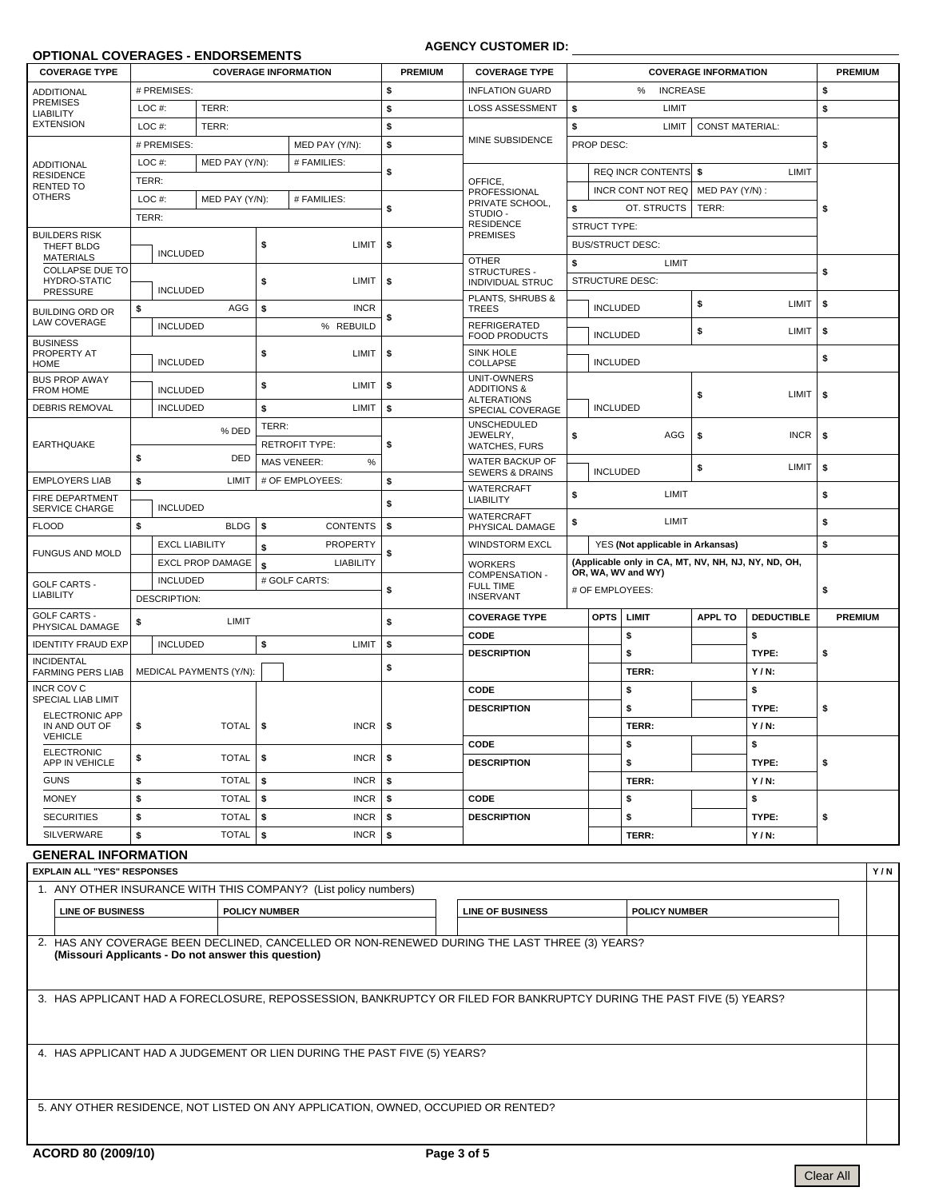#### **OPTIONAL COVERAGES - ENDORSEMENTS**

### **AGENCY CUSTOMER ID:**

| <b>COVERAGE TYPE</b>                                 |                                         |                       |                         |                  | <b>COVERAGE INFORMATION</b> | <b>PREMIUM</b>    | <b>COVERAGE TYPE</b>                                 |                                                     |                                         |                                             | <b>COVERAGE INFORMATION</b> |                   | <b>PREMIUM</b> |  |
|------------------------------------------------------|-----------------------------------------|-----------------------|-------------------------|------------------|-----------------------------|-------------------|------------------------------------------------------|-----------------------------------------------------|-----------------------------------------|---------------------------------------------|-----------------------------|-------------------|----------------|--|
| <b>ADDITIONAL</b>                                    |                                         | # PREMISES:           |                         |                  |                             | \$                | <b>INFLATION GUARD</b>                               |                                                     |                                         | \$                                          |                             |                   |                |  |
| <b>PREMISES</b><br><b>LIABILITY</b>                  | LOC#:                                   |                       | TERR:                   |                  |                             | \$                | <b>LOSS ASSESSMENT</b>                               | \$                                                  |                                         | LIMIT                                       |                             |                   | \$             |  |
| <b>EXTENSION</b>                                     | LOC#:                                   |                       | TERR:                   |                  |                             | \$                |                                                      | \$                                                  |                                         | <b>CONST MATERIAL:</b>                      |                             |                   |                |  |
|                                                      |                                         | # PREMISES:           |                         |                  | MED PAY (Y/N):              | \$                | MINE SUBSIDENCE                                      |                                                     | <b>PROP DESC:</b>                       |                                             | \$                          |                   |                |  |
| <b>ADDITIONAL</b>                                    | LOC#:                                   |                       | MED PAY (Y/N):          |                  | # FAMILIES:                 | \$                |                                                      |                                                     | <b>REQ INCR CONTENTS</b><br>LIMIT<br>Ŝ. |                                             |                             |                   |                |  |
| <b>RESIDENCE</b><br>RENTED TO                        | TERR:                                   |                       |                         |                  |                             |                   | OFFICE,<br>PROFESSIONAL                              |                                                     |                                         | <b>INCR CONT NOT REQ</b><br>MED PAY (Y/N) : |                             |                   |                |  |
| <b>OTHERS</b>                                        | LOC#:                                   |                       | MED PAY (Y/N):          |                  | # FAMILIES:                 | \$                | PRIVATE SCHOOL,                                      |                                                     | \$<br>OT. STRUCTS<br>TERR:              |                                             |                             |                   | \$             |  |
|                                                      | TERR:                                   |                       |                         |                  |                             |                   | STUDIO-<br><b>RESIDENCE</b>                          |                                                     | <b>STRUCT TYPE:</b>                     |                                             |                             |                   |                |  |
| <b>BUILDERS RISK</b><br>THEFT BLDG                   |                                         |                       |                         | \$               | LIMIT                       | \$                | <b>PREMISES</b>                                      |                                                     |                                         | <b>BUS/STRUCT DESC:</b>                     |                             |                   |                |  |
| <b>MATERIALS</b>                                     |                                         | <b>INCLUDED</b>       |                         |                  |                             |                   | <b>OTHER</b>                                         | \$                                                  |                                         | LIMIT                                       |                             |                   |                |  |
| <b>COLLAPSE DUE TO</b><br>HYDRO-STATIC               |                                         |                       |                         | \$               | LIMIT                       | \$                | STRUCTURES -<br><b>INDIVIDUAL STRUC</b>              |                                                     |                                         | <b>STRUCTURE DESC:</b>                      |                             |                   | \$             |  |
| <b>PRESSURE</b>                                      |                                         | <b>INCLUDED</b>       |                         |                  |                             |                   | PLANTS, SHRUBS &                                     | <b>LIMIT</b><br>\$                                  |                                         |                                             |                             |                   | \$             |  |
| <b>BUILDING ORD OR</b><br><b>LAW COVERAGE</b>        | \$                                      |                       | AGG                     | \$               | <b>INCR</b>                 | \$                | <b>TREES</b>                                         |                                                     | <b>INCLUDED</b>                         |                                             |                             |                   |                |  |
|                                                      |                                         | <b>INCLUDED</b>       |                         |                  | % REBUILD                   |                   | <b>REFRIGERATED</b><br><b>FOOD PRODUCTS</b>          |                                                     |                                         | LIMIT<br>\$<br><b>INCLUDED</b>              |                             |                   | \$             |  |
| <b>BUSINESS</b><br>PROPERTY AT                       |                                         |                       |                         | \$               | <b>LIMIT</b>                | \$                | <b>SINK HOLE</b>                                     |                                                     |                                         | <b>INCLUDED</b>                             |                             |                   |                |  |
| <b>HOME</b><br><b>BUS PROP AWAY</b>                  |                                         | <b>INCLUDED</b>       |                         |                  |                             |                   | COLLAPSE<br><b>UNIT-OWNERS</b>                       |                                                     |                                         |                                             | \$                          |                   |                |  |
| <b>FROM HOME</b>                                     | <b>INCLUDED</b>                         |                       |                         | \$               | LIMIT                       | \$                | <b>ADDITIONS &amp;</b><br><b>ALTERATIONS</b>         |                                                     |                                         |                                             | \$                          | LIMIT             | \$             |  |
| <b>DEBRIS REMOVAL</b>                                | <b>INCLUDED</b>                         |                       |                         | \$               | LIMIT                       | \$                | SPECIAL COVERAGE                                     |                                                     | <b>INCLUDED</b>                         |                                             |                             |                   |                |  |
|                                                      |                                         |                       | % DED                   | TERR:            |                             |                   | <b>UNSCHEDULED</b><br>JEWELRY,                       | \$                                                  |                                         | AGG                                         | \$                          | <b>INCR</b>       | \$             |  |
| <b>EARTHQUAKE</b>                                    |                                         |                       |                         |                  | <b>RETROFIT TYPE:</b>       | \$                | <b>WATCHES, FURS</b>                                 |                                                     |                                         |                                             |                             |                   |                |  |
|                                                      | \$                                      |                       | <b>DED</b>              |                  | <b>MAS VENEER:</b><br>$\%$  |                   | <b>WATER BACKUP OF</b><br><b>SEWERS &amp; DRAINS</b> |                                                     | <b>INCLUDED</b>                         |                                             | \$                          | LIMIT             | \$             |  |
| <b>EMPLOYERS LIAB</b><br>\$                          |                                         | LIMIT                 |                         | # OF EMPLOYEES:  | \$                          | <b>WATERCRAFT</b> |                                                      |                                                     |                                         |                                             |                             |                   |                |  |
| FIRE DEPARTMENT<br><b>INCLUDED</b><br>SERVICE CHARGE |                                         |                       |                         |                  | \$                          | <b>LIABILITY</b>  | \$                                                   |                                                     | LIMIT                                   |                                             |                             | \$                |                |  |
| <b>FLOOD</b>                                         | \$                                      |                       | <b>BLDG</b>             | \$               | <b>CONTENTS</b>             | \$                | <b>WATERCRAFT</b><br>PHYSICAL DAMAGE                 | \$                                                  |                                         | LIMIT                                       |                             |                   | \$             |  |
|                                                      |                                         | <b>EXCL LIABILITY</b> |                         | \$               | <b>PROPERTY</b>             |                   | <b>WINDSTORM EXCL</b>                                |                                                     | YES (Not applicable in Arkansas)        | \$                                          |                             |                   |                |  |
| <b>FUNGUS AND MOLD</b>                               | <b>EXCL PROP DAMAGE</b>                 |                       | \$                      | <b>LIABILITY</b> | \$                          | <b>WORKERS</b>    |                                                      | (Applicable only in CA, MT, NV, NH, NJ, NY, ND, OH, |                                         |                                             |                             |                   |                |  |
| <b>GOLF CARTS -</b>                                  |                                         | <b>INCLUDED</b>       |                         |                  | # GOLF CARTS:               |                   | <b>COMPENSATION -</b><br><b>FULL TIME</b>            | OR, WA, WV and WY)<br># OF EMPLOYEES:               |                                         |                                             |                             |                   |                |  |
| <b>LIABILITY</b>                                     |                                         | DESCRIPTION:          |                         |                  |                             | \$                | <b>INSERVANT</b>                                     |                                                     |                                         |                                             |                             |                   | \$             |  |
| <b>GOLF CARTS -</b>                                  | \$                                      |                       | LIMIT                   |                  |                             | \$                | <b>COVERAGE TYPE</b>                                 |                                                     | <b>OPTS</b>                             | LIMIT                                       | <b>APPL TO</b>              | <b>DEDUCTIBLE</b> | <b>PREMIUM</b> |  |
| PHYSICAL DAMAGE<br><b>IDENTITY FRAUD EXP</b>         |                                         | <b>INCLUDED</b>       |                         | \$               | LIMIT                       | \$                | CODE                                                 |                                                     |                                         | \$                                          |                             | \$                |                |  |
| <b>INCIDENTAL</b>                                    |                                         |                       |                         |                  |                             |                   | <b>DESCRIPTION</b>                                   |                                                     |                                         | \$                                          |                             | TYPE:             | \$             |  |
| <b>FARMING PERS LIAB</b>                             |                                         |                       | MEDICAL PAYMENTS (Y/N): |                  |                             | \$                |                                                      |                                                     |                                         | TERR:                                       |                             | $Y/N$ :           |                |  |
| <b>INCR COV C</b><br>SPECIAL LIAB LIMIT              |                                         |                       |                         |                  |                             |                   | CODE                                                 |                                                     |                                         | \$                                          |                             | \$                |                |  |
| <b>ELECTRONIC APP</b>                                |                                         |                       |                         |                  |                             |                   | <b>DESCRIPTION</b>                                   |                                                     |                                         | \$                                          |                             | TYPE:             | \$             |  |
| IN AND OUT OF<br><b>VEHICLE</b>                      | \$                                      |                       | <b>TOTAL</b>            | \$               | <b>INCR</b>                 | \$                |                                                      |                                                     |                                         | TERR:                                       |                             | $Y/N$ :           |                |  |
| <b>ELECTRONIC</b>                                    | \$                                      |                       |                         |                  |                             |                   | CODE                                                 |                                                     |                                         | \$                                          |                             | \$                |                |  |
| APP IN VEHICLE                                       |                                         |                       | <b>TOTAL</b>            | \$               | <b>INCR</b>                 | \$                | <b>DESCRIPTION</b>                                   |                                                     |                                         | \$                                          |                             | TYPE:             | \$             |  |
| <b>GUNS</b>                                          | \$<br><b>TOTAL</b><br>\$<br><b>INCR</b> |                       | \$                      |                  |                             | TERR:<br>$Y/N$ :  |                                                      |                                                     |                                         |                                             |                             |                   |                |  |
| <b>MONEY</b>                                         | \$                                      |                       | <b>TOTAL</b>            | \$               | <b>INCR</b>                 | \$                | CODE                                                 |                                                     |                                         | \$                                          |                             | \$                |                |  |
| <b>SECURITIES</b>                                    | \$                                      | <b>TOTAL</b><br>\$    |                         |                  | <b>INCR</b>                 | \$                | <b>DESCRIPTION</b>                                   |                                                     |                                         | \$                                          |                             | TYPE:             | \$             |  |
| <b>SILVERWARE</b><br>\$                              |                                         |                       | <b>TOTAL</b>            | \$               | <b>INCR</b>                 | \$                |                                                      |                                                     | TERR:                                   |                                             |                             | $Y/N$ :           |                |  |

## **GENERAL INFORMATION**

|                                                                                                                                                     | <b>EXPLAIN ALL "YES" RESPONSES</b><br>Y/N |                                                                         |  |  |  |  |  |  |  |  |  |
|-----------------------------------------------------------------------------------------------------------------------------------------------------|-------------------------------------------|-------------------------------------------------------------------------|--|--|--|--|--|--|--|--|--|
|                                                                                                                                                     |                                           | 1. ANY OTHER INSURANCE WITH THIS COMPANY? (List policy numbers)         |  |  |  |  |  |  |  |  |  |
|                                                                                                                                                     | <b>LINE OF BUSINESS</b>                   | <b>POLICY NUMBER</b><br><b>LINE OF BUSINESS</b><br><b>POLICY NUMBER</b> |  |  |  |  |  |  |  |  |  |
| 2. HAS ANY COVERAGE BEEN DECLINED, CANCELLED OR NON-RENEWED DURING THE LAST THREE (3) YEARS?<br>(Missouri Applicants - Do not answer this question) |                                           |                                                                         |  |  |  |  |  |  |  |  |  |
| 3. HAS APPLICANT HAD A FORECLOSURE, REPOSSESSION, BANKRUPTCY OR FILED FOR BANKRUPTCY DURING THE PAST FIVE (5) YEARS?                                |                                           |                                                                         |  |  |  |  |  |  |  |  |  |
| 4. HAS APPLICANT HAD A JUDGEMENT OR LIEN DURING THE PAST FIVE (5) YEARS?                                                                            |                                           |                                                                         |  |  |  |  |  |  |  |  |  |
| 5. ANY OTHER RESIDENCE, NOT LISTED ON ANY APPLICATION, OWNED, OCCUPIED OR RENTED?                                                                   |                                           |                                                                         |  |  |  |  |  |  |  |  |  |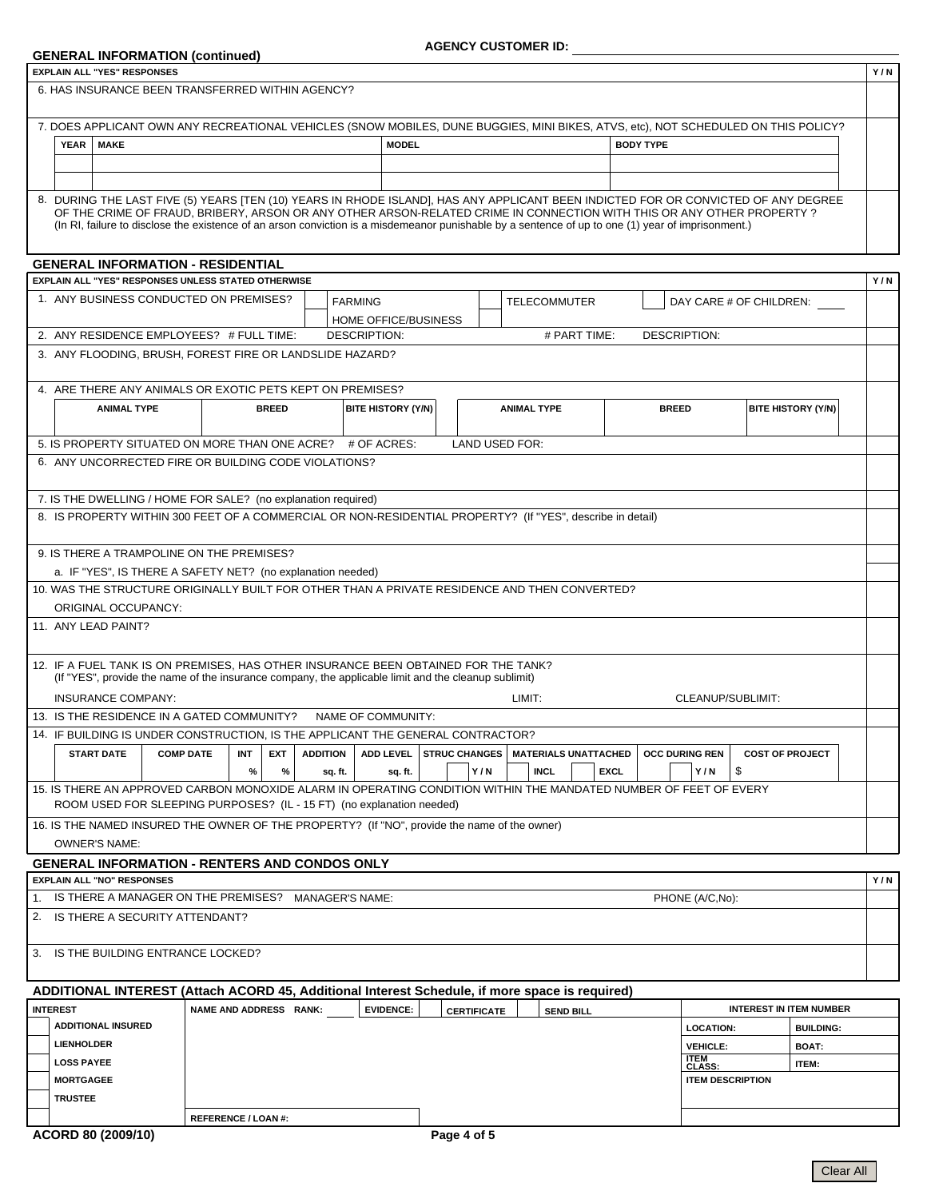### **GENERAL INFORMATION (continued)**

| <b>EXPLAIN ALL "YES" RESPONSES</b>                                                                                                 |                                                                                                                                                                                                                                                                             |                            |              |                 |                     |                    |                      |                    |        |                                                  |             |                     |                         |                   |                                | Y/N |
|------------------------------------------------------------------------------------------------------------------------------------|-----------------------------------------------------------------------------------------------------------------------------------------------------------------------------------------------------------------------------------------------------------------------------|----------------------------|--------------|-----------------|---------------------|--------------------|----------------------|--------------------|--------|--------------------------------------------------|-------------|---------------------|-------------------------|-------------------|--------------------------------|-----|
| 6. HAS INSURANCE BEEN TRANSFERRED WITHIN AGENCY?                                                                                   |                                                                                                                                                                                                                                                                             |                            |              |                 |                     |                    |                      |                    |        |                                                  |             |                     |                         |                   |                                |     |
| 7. DOES APPLICANT OWN ANY RECREATIONAL VEHICLES (SNOW MOBILES, DUNE BUGGIES, MINI BIKES, ATVS, etc), NOT SCHEDULED ON THIS POLICY? |                                                                                                                                                                                                                                                                             |                            |              |                 |                     |                    |                      |                    |        |                                                  |             |                     |                         |                   |                                |     |
| <b>MAKE</b><br>YEAR                                                                                                                |                                                                                                                                                                                                                                                                             |                            |              |                 |                     | <b>MODEL</b>       |                      |                    |        |                                                  |             | <b>BODY TYPE</b>    |                         |                   |                                |     |
|                                                                                                                                    |                                                                                                                                                                                                                                                                             |                            |              |                 |                     |                    |                      |                    |        |                                                  |             |                     |                         |                   |                                |     |
|                                                                                                                                    |                                                                                                                                                                                                                                                                             |                            |              |                 |                     |                    |                      |                    |        |                                                  |             |                     |                         |                   |                                |     |
|                                                                                                                                    |                                                                                                                                                                                                                                                                             |                            |              |                 |                     |                    |                      |                    |        |                                                  |             |                     |                         |                   |                                |     |
| 8. DURING THE LAST FIVE (5) YEARS [TEN (10) YEARS IN RHODE ISLAND], HAS ANY APPLICANT BEEN INDICTED FOR OR CONVICTED OF ANY DEGREE | OF THE CRIME OF FRAUD, BRIBERY, ARSON OR ANY OTHER ARSON-RELATED CRIME IN CONNECTION WITH THIS OR ANY OTHER PROPERTY?<br>(In RI, failure to disclose the existence of an arson conviction is a misdemeanor punishable by a sentence of up to one (1) year of imprisonment.) |                            |              |                 |                     |                    |                      |                    |        |                                                  |             |                     |                         |                   |                                |     |
| <b>GENERAL INFORMATION - RESIDENTIAL</b><br>EXPLAIN ALL "YES" RESPONSES UNLESS STATED OTHERWISE                                    |                                                                                                                                                                                                                                                                             |                            |              |                 |                     |                    |                      |                    |        |                                                  |             |                     |                         |                   |                                | Y/N |
| 1. ANY BUSINESS CONDUCTED ON PREMISES?                                                                                             |                                                                                                                                                                                                                                                                             |                            |              |                 | <b>FARMING</b>      |                    |                      |                    |        | <b>TELECOMMUTER</b>                              |             |                     |                         |                   |                                |     |
|                                                                                                                                    |                                                                                                                                                                                                                                                                             |                            |              |                 |                     |                    |                      |                    |        |                                                  |             |                     |                         |                   | DAY CARE # OF CHILDREN:        |     |
| 2. ANY RESIDENCE EMPLOYEES? # FULL TIME:                                                                                           |                                                                                                                                                                                                                                                                             |                            |              |                 | <b>DESCRIPTION:</b> |                    | HOME OFFICE/BUSINESS |                    |        | # PART TIME:                                     |             | <b>DESCRIPTION:</b> |                         |                   |                                |     |
| 3. ANY FLOODING, BRUSH, FOREST FIRE OR LANDSLIDE HAZARD?                                                                           |                                                                                                                                                                                                                                                                             |                            |              |                 |                     |                    |                      |                    |        |                                                  |             |                     |                         |                   |                                |     |
|                                                                                                                                    |                                                                                                                                                                                                                                                                             |                            |              |                 |                     |                    |                      |                    |        |                                                  |             |                     |                         |                   |                                |     |
| 4. ARE THERE ANY ANIMALS OR EXOTIC PETS KEPT ON PREMISES?                                                                          |                                                                                                                                                                                                                                                                             |                            |              |                 |                     |                    |                      |                    |        |                                                  |             |                     |                         |                   |                                |     |
| <b>ANIMAL TYPE</b>                                                                                                                 |                                                                                                                                                                                                                                                                             |                            | <b>BREED</b> |                 |                     | BITE HISTORY (Y/N) |                      |                    |        | <b>ANIMAL TYPE</b>                               |             | <b>BREED</b>        |                         |                   | BITE HISTORY (Y/N)             |     |
|                                                                                                                                    |                                                                                                                                                                                                                                                                             |                            |              |                 |                     |                    |                      |                    |        |                                                  |             |                     |                         |                   |                                |     |
| 5. IS PROPERTY SITUATED ON MORE THAN ONE ACRE? # OF ACRES:                                                                         |                                                                                                                                                                                                                                                                             |                            |              |                 |                     |                    |                      | LAND USED FOR:     |        |                                                  |             |                     |                         |                   |                                |     |
| 6. ANY UNCORRECTED FIRE OR BUILDING CODE VIOLATIONS?                                                                               |                                                                                                                                                                                                                                                                             |                            |              |                 |                     |                    |                      |                    |        |                                                  |             |                     |                         |                   |                                |     |
|                                                                                                                                    |                                                                                                                                                                                                                                                                             |                            |              |                 |                     |                    |                      |                    |        |                                                  |             |                     |                         |                   |                                |     |
| 7. IS THE DWELLING / HOME FOR SALE? (no explanation required)                                                                      |                                                                                                                                                                                                                                                                             |                            |              |                 |                     |                    |                      |                    |        |                                                  |             |                     |                         |                   |                                |     |
| 8. IS PROPERTY WITHIN 300 FEET OF A COMMERCIAL OR NON-RESIDENTIAL PROPERTY? (If "YES", describe in detail)                         |                                                                                                                                                                                                                                                                             |                            |              |                 |                     |                    |                      |                    |        |                                                  |             |                     |                         |                   |                                |     |
|                                                                                                                                    |                                                                                                                                                                                                                                                                             |                            |              |                 |                     |                    |                      |                    |        |                                                  |             |                     |                         |                   |                                |     |
| 9. IS THERE A TRAMPOLINE ON THE PREMISES?                                                                                          |                                                                                                                                                                                                                                                                             |                            |              |                 |                     |                    |                      |                    |        |                                                  |             |                     |                         |                   |                                |     |
|                                                                                                                                    | a. IF "YES", IS THERE A SAFETY NET? (no explanation needed)                                                                                                                                                                                                                 |                            |              |                 |                     |                    |                      |                    |        |                                                  |             |                     |                         |                   |                                |     |
| 10. WAS THE STRUCTURE ORIGINALLY BUILT FOR OTHER THAN A PRIVATE RESIDENCE AND THEN CONVERTED?                                      |                                                                                                                                                                                                                                                                             |                            |              |                 |                     |                    |                      |                    |        |                                                  |             |                     |                         |                   |                                |     |
| ORIGINAL OCCUPANCY:                                                                                                                |                                                                                                                                                                                                                                                                             |                            |              |                 |                     |                    |                      |                    |        |                                                  |             |                     |                         |                   |                                |     |
| 11. ANY LEAD PAINT?                                                                                                                |                                                                                                                                                                                                                                                                             |                            |              |                 |                     |                    |                      |                    |        |                                                  |             |                     |                         |                   |                                |     |
|                                                                                                                                    |                                                                                                                                                                                                                                                                             |                            |              |                 |                     |                    |                      |                    |        |                                                  |             |                     |                         |                   |                                |     |
| 12. IF A FUEL TANK IS ON PREMISES, HAS OTHER INSURANCE BEEN OBTAINED FOR THE TANK?                                                 | (If "YES", provide the name of the insurance company, the applicable limit and the cleanup sublimit)                                                                                                                                                                        |                            |              |                 |                     |                    |                      |                    |        |                                                  |             |                     |                         |                   |                                |     |
| <b>INSURANCE COMPANY:</b>                                                                                                          |                                                                                                                                                                                                                                                                             |                            |              |                 |                     |                    |                      |                    | LIMIT: |                                                  |             |                     |                         | CLEANUP/SUBLIMIT: |                                |     |
|                                                                                                                                    |                                                                                                                                                                                                                                                                             |                            |              |                 | NAME OF COMMUNITY:  |                    |                      |                    |        |                                                  |             |                     |                         |                   |                                |     |
| 13. IS THE RESIDENCE IN A GATED COMMUNITY?                                                                                         |                                                                                                                                                                                                                                                                             |                            |              |                 |                     |                    |                      |                    |        |                                                  |             |                     |                         |                   |                                |     |
| 14. IF BUILDING IS UNDER CONSTRUCTION, IS THE APPLICANT THE GENERAL CONTRACTOR?                                                    |                                                                                                                                                                                                                                                                             |                            |              |                 |                     |                    |                      |                    |        |                                                  |             |                     |                         |                   |                                |     |
| <b>START DATE</b>                                                                                                                  | <b>COMP DATE</b>                                                                                                                                                                                                                                                            | INT                        | EXT          | <b>ADDITION</b> |                     |                    |                      |                    |        | ADD LEVEL   STRUC CHANGES   MATERIALS UNATTACHED |             |                     | <b>OCC DURING REN</b>   |                   | <b>COST OF PROJECT</b>         |     |
|                                                                                                                                    |                                                                                                                                                                                                                                                                             | %                          | %            |                 | sq. ft.             | sq. ft.            |                      | Y/N                |        | <b>INCL</b>                                      | <b>EXCL</b> |                     | Y/N                     | \$                |                                |     |
| 15. IS THERE AN APPROVED CARBON MONOXIDE ALARM IN OPERATING CONDITION WITHIN THE MANDATED NUMBER OF FEET OF EVERY                  | ROOM USED FOR SLEEPING PURPOSES? (IL - 15 FT) (no explanation needed)                                                                                                                                                                                                       |                            |              |                 |                     |                    |                      |                    |        |                                                  |             |                     |                         |                   |                                |     |
| 16. IS THE NAMED INSURED THE OWNER OF THE PROPERTY? (If "NO", provide the name of the owner)<br><b>OWNER'S NAME:</b>               |                                                                                                                                                                                                                                                                             |                            |              |                 |                     |                    |                      |                    |        |                                                  |             |                     |                         |                   |                                |     |
| <b>GENERAL INFORMATION - RENTERS AND CONDOS ONLY</b>                                                                               |                                                                                                                                                                                                                                                                             |                            |              |                 |                     |                    |                      |                    |        |                                                  |             |                     |                         |                   |                                |     |
| <b>EXPLAIN ALL "NO" RESPONSES</b>                                                                                                  |                                                                                                                                                                                                                                                                             |                            |              |                 |                     |                    |                      |                    |        |                                                  |             |                     |                         |                   |                                | Y/N |
| 1. IS THERE A MANAGER ON THE PREMISES? MANAGER'S NAME:                                                                             |                                                                                                                                                                                                                                                                             |                            |              |                 |                     |                    |                      |                    |        |                                                  |             |                     | PHONE (A/C,No):         |                   |                                |     |
| 2.                                                                                                                                 | IS THERE A SECURITY ATTENDANT?                                                                                                                                                                                                                                              |                            |              |                 |                     |                    |                      |                    |        |                                                  |             |                     |                         |                   |                                |     |
|                                                                                                                                    |                                                                                                                                                                                                                                                                             |                            |              |                 |                     |                    |                      |                    |        |                                                  |             |                     |                         |                   |                                |     |
| 3. IS THE BUILDING ENTRANCE LOCKED?                                                                                                |                                                                                                                                                                                                                                                                             |                            |              |                 |                     |                    |                      |                    |        |                                                  |             |                     |                         |                   |                                |     |
| ADDITIONAL INTEREST (Attach ACORD 45, Additional Interest Schedule, if more space is required)                                     |                                                                                                                                                                                                                                                                             |                            |              |                 |                     |                    |                      |                    |        |                                                  |             |                     |                         |                   |                                |     |
| <b>INTEREST</b>                                                                                                                    |                                                                                                                                                                                                                                                                             | NAME AND ADDRESS RANK:     |              |                 |                     | <b>EVIDENCE:</b>   |                      |                    |        |                                                  |             |                     |                         |                   | <b>INTEREST IN ITEM NUMBER</b> |     |
| <b>ADDITIONAL INSURED</b>                                                                                                          |                                                                                                                                                                                                                                                                             |                            |              |                 |                     |                    |                      | <b>CERTIFICATE</b> |        | <b>SEND BILL</b>                                 |             |                     |                         |                   |                                |     |
|                                                                                                                                    |                                                                                                                                                                                                                                                                             |                            |              |                 |                     |                    |                      |                    |        |                                                  |             |                     | <b>LOCATION:</b>        |                   | <b>BUILDING:</b>               |     |
| <b>LIENHOLDER</b>                                                                                                                  |                                                                                                                                                                                                                                                                             |                            |              |                 |                     |                    |                      |                    |        |                                                  |             |                     | <b>VEHICLE:</b>         |                   | <b>BOAT:</b>                   |     |
| <b>LOSS PAYEE</b>                                                                                                                  |                                                                                                                                                                                                                                                                             |                            |              |                 |                     |                    |                      |                    |        |                                                  |             |                     | <b>ITEM<br/>CLASS:</b>  |                   | <b>ITEM:</b>                   |     |
| <b>MORTGAGEE</b>                                                                                                                   |                                                                                                                                                                                                                                                                             |                            |              |                 |                     |                    |                      |                    |        |                                                  |             |                     | <b>ITEM DESCRIPTION</b> |                   |                                |     |
| <b>TRUSTEE</b>                                                                                                                     |                                                                                                                                                                                                                                                                             |                            |              |                 |                     |                    |                      |                    |        |                                                  |             |                     |                         |                   |                                |     |
|                                                                                                                                    |                                                                                                                                                                                                                                                                             | <b>REFERENCE / LOAN #:</b> |              |                 |                     |                    |                      |                    |        |                                                  |             |                     |                         |                   |                                |     |